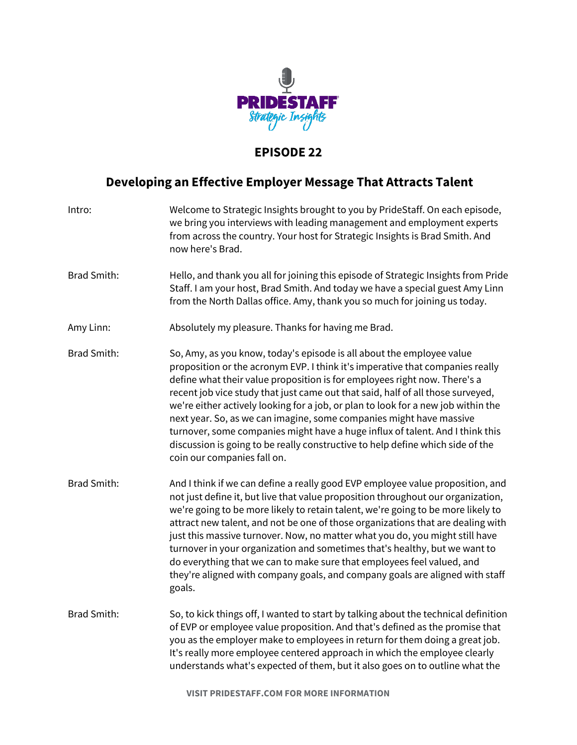

## **EPISODE 22**

## **Developing an Effective Employer Message That Attracts Talent**

| Intro:             | Welcome to Strategic Insights brought to you by PrideStaff. On each episode,<br>we bring you interviews with leading management and employment experts<br>from across the country. Your host for Strategic Insights is Brad Smith. And<br>now here's Brad.                                                                                                                                                                                                                                                                                                                                                                                                                           |
|--------------------|--------------------------------------------------------------------------------------------------------------------------------------------------------------------------------------------------------------------------------------------------------------------------------------------------------------------------------------------------------------------------------------------------------------------------------------------------------------------------------------------------------------------------------------------------------------------------------------------------------------------------------------------------------------------------------------|
| <b>Brad Smith:</b> | Hello, and thank you all for joining this episode of Strategic Insights from Pride<br>Staff. I am your host, Brad Smith. And today we have a special guest Amy Linn<br>from the North Dallas office. Amy, thank you so much for joining us today.                                                                                                                                                                                                                                                                                                                                                                                                                                    |
| Amy Linn:          | Absolutely my pleasure. Thanks for having me Brad.                                                                                                                                                                                                                                                                                                                                                                                                                                                                                                                                                                                                                                   |
| <b>Brad Smith:</b> | So, Amy, as you know, today's episode is all about the employee value<br>proposition or the acronym EVP. I think it's imperative that companies really<br>define what their value proposition is for employees right now. There's a<br>recent job vice study that just came out that said, half of all those surveyed,<br>we're either actively looking for a job, or plan to look for a new job within the<br>next year. So, as we can imagine, some companies might have massive<br>turnover, some companies might have a huge influx of talent. And I think this<br>discussion is going to be really constructive to help define which side of the<br>coin our companies fall on. |
| <b>Brad Smith:</b> | And I think if we can define a really good EVP employee value proposition, and<br>not just define it, but live that value proposition throughout our organization,<br>we're going to be more likely to retain talent, we're going to be more likely to<br>attract new talent, and not be one of those organizations that are dealing with<br>just this massive turnover. Now, no matter what you do, you might still have<br>turnover in your organization and sometimes that's healthy, but we want to<br>do everything that we can to make sure that employees feel valued, and<br>they're aligned with company goals, and company goals are aligned with staff<br>goals.          |
| <b>Brad Smith:</b> | So, to kick things off, I wanted to start by talking about the technical definition<br>of EVP or employee value proposition. And that's defined as the promise that<br>you as the employer make to employees in return for them doing a great job.<br>It's really more employee centered approach in which the employee clearly<br>understands what's expected of them, but it also goes on to outline what the                                                                                                                                                                                                                                                                      |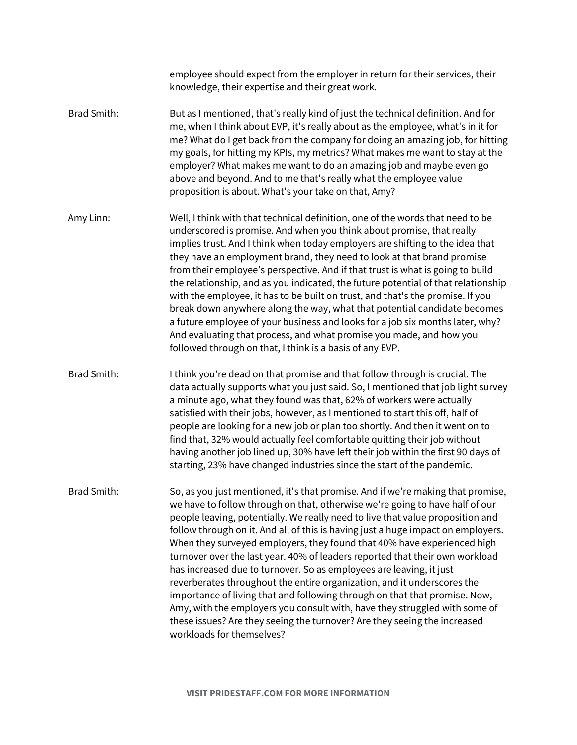|                    | employee should expect from the employer in return for their services, their<br>knowledge, their expertise and their great work.                                                                                                                                                                                                                                                                                                                                                                                                                                                                                                                                                                                                                                                                                                                                                                                         |
|--------------------|--------------------------------------------------------------------------------------------------------------------------------------------------------------------------------------------------------------------------------------------------------------------------------------------------------------------------------------------------------------------------------------------------------------------------------------------------------------------------------------------------------------------------------------------------------------------------------------------------------------------------------------------------------------------------------------------------------------------------------------------------------------------------------------------------------------------------------------------------------------------------------------------------------------------------|
| <b>Brad Smith:</b> | But as I mentioned, that's really kind of just the technical definition. And for<br>me, when I think about EVP, it's really about as the employee, what's in it for<br>me? What do I get back from the company for doing an amazing job, for hitting<br>my goals, for hitting my KPIs, my metrics? What makes me want to stay at the<br>employer? What makes me want to do an amazing job and maybe even go<br>above and beyond. And to me that's really what the employee value<br>proposition is about. What's your take on that, Amy?                                                                                                                                                                                                                                                                                                                                                                                 |
| Amy Linn:          | Well, I think with that technical definition, one of the words that need to be<br>underscored is promise. And when you think about promise, that really<br>implies trust. And I think when today employers are shifting to the idea that<br>they have an employment brand, they need to look at that brand promise<br>from their employee's perspective. And if that trust is what is going to build<br>the relationship, and as you indicated, the future potential of that relationship<br>with the employee, it has to be built on trust, and that's the promise. If you<br>break down anywhere along the way, what that potential candidate becomes<br>a future employee of your business and looks for a job six months later, why?<br>And evaluating that process, and what promise you made, and how you<br>followed through on that, I think is a basis of any EVP.                                              |
| <b>Brad Smith:</b> | I think you're dead on that promise and that follow through is crucial. The<br>data actually supports what you just said. So, I mentioned that job light survey<br>a minute ago, what they found was that, 62% of workers were actually<br>satisfied with their jobs, however, as I mentioned to start this off, half of<br>people are looking for a new job or plan too shortly. And then it went on to<br>find that, 32% would actually feel comfortable quitting their job without<br>having another job lined up, 30% have left their job within the first 90 days of<br>starting, 23% have changed industries since the start of the pandemic.                                                                                                                                                                                                                                                                      |
| <b>Brad Smith:</b> | So, as you just mentioned, it's that promise. And if we're making that promise,<br>we have to follow through on that, otherwise we're going to have half of our<br>people leaving, potentially. We really need to live that value proposition and<br>follow through on it. And all of this is having just a huge impact on employers.<br>When they surveyed employers, they found that 40% have experienced high<br>turnover over the last year. 40% of leaders reported that their own workload<br>has increased due to turnover. So as employees are leaving, it just<br>reverberates throughout the entire organization, and it underscores the<br>importance of living that and following through on that that promise. Now,<br>Amy, with the employers you consult with, have they struggled with some of<br>these issues? Are they seeing the turnover? Are they seeing the increased<br>workloads for themselves? |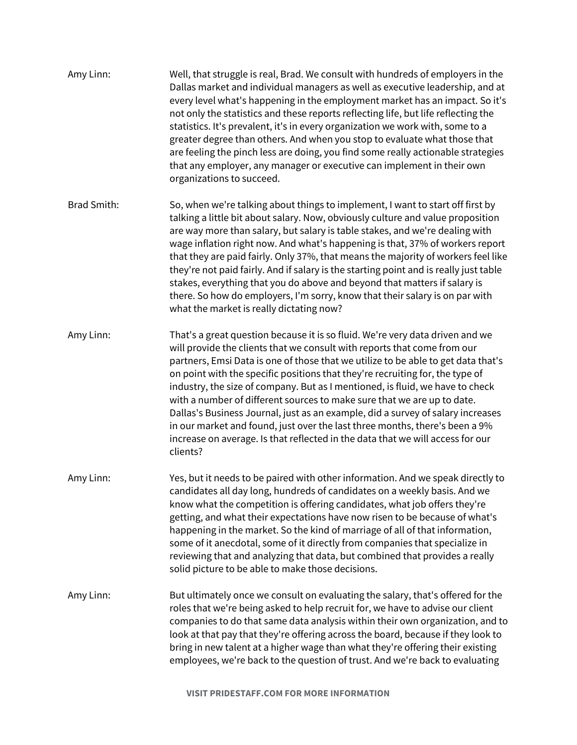| Amy Linn:          | Well, that struggle is real, Brad. We consult with hundreds of employers in the<br>Dallas market and individual managers as well as executive leadership, and at<br>every level what's happening in the employment market has an impact. So it's<br>not only the statistics and these reports reflecting life, but life reflecting the<br>statistics. It's prevalent, it's in every organization we work with, some to a<br>greater degree than others. And when you stop to evaluate what those that<br>are feeling the pinch less are doing, you find some really actionable strategies<br>that any employer, any manager or executive can implement in their own<br>organizations to succeed.                                                            |
|--------------------|-------------------------------------------------------------------------------------------------------------------------------------------------------------------------------------------------------------------------------------------------------------------------------------------------------------------------------------------------------------------------------------------------------------------------------------------------------------------------------------------------------------------------------------------------------------------------------------------------------------------------------------------------------------------------------------------------------------------------------------------------------------|
| <b>Brad Smith:</b> | So, when we're talking about things to implement, I want to start off first by<br>talking a little bit about salary. Now, obviously culture and value proposition<br>are way more than salary, but salary is table stakes, and we're dealing with<br>wage inflation right now. And what's happening is that, 37% of workers report<br>that they are paid fairly. Only 37%, that means the majority of workers feel like<br>they're not paid fairly. And if salary is the starting point and is really just table<br>stakes, everything that you do above and beyond that matters if salary is<br>there. So how do employers, I'm sorry, know that their salary is on par with<br>what the market is really dictating now?                                   |
| Amy Linn:          | That's a great question because it is so fluid. We're very data driven and we<br>will provide the clients that we consult with reports that come from our<br>partners, Emsi Data is one of those that we utilize to be able to get data that's<br>on point with the specific positions that they're recruiting for, the type of<br>industry, the size of company. But as I mentioned, is fluid, we have to check<br>with a number of different sources to make sure that we are up to date.<br>Dallas's Business Journal, just as an example, did a survey of salary increases<br>in our market and found, just over the last three months, there's been a 9%<br>increase on average. Is that reflected in the data that we will access for our<br>clients? |
| Amy Linn:          | Yes, but it needs to be paired with other information. And we speak directly to<br>candidates all day long, hundreds of candidates on a weekly basis. And we<br>know what the competition is offering candidates, what job offers they're<br>getting, and what their expectations have now risen to be because of what's<br>happening in the market. So the kind of marriage of all of that information,<br>some of it anecdotal, some of it directly from companies that specialize in<br>reviewing that and analyzing that data, but combined that provides a really<br>solid picture to be able to make those decisions.                                                                                                                                 |
| Amy Linn:          | But ultimately once we consult on evaluating the salary, that's offered for the<br>roles that we're being asked to help recruit for, we have to advise our client<br>companies to do that same data analysis within their own organization, and to<br>look at that pay that they're offering across the board, because if they look to<br>bring in new talent at a higher wage than what they're offering their existing<br>employees, we're back to the question of trust. And we're back to evaluating                                                                                                                                                                                                                                                    |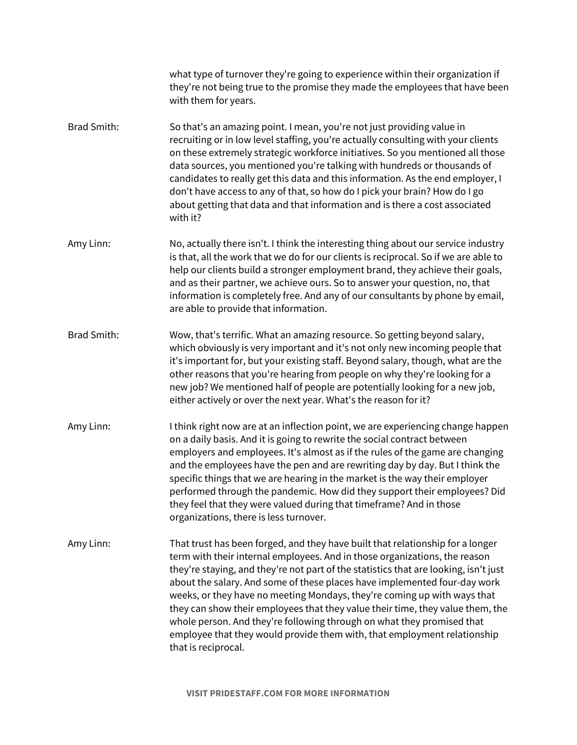what type of turnover they're going to experience within their organization if they're not being true to the promise they made the employees that have been with them for years. Brad Smith: So that's an amazing point. I mean, you're not just providing value in recruiting or in low level staffing, you're actually consulting with your clients on these extremely strategic workforce initiatives. So you mentioned all those data sources, you mentioned you're talking with hundreds or thousands of candidates to really get this data and this information. As the end employer, I don't have access to any of that, so how do I pick your brain? How do I go about getting that data and that information and is there a cost associated with it? Amy Linn: No, actually there isn't. I think the interesting thing about our service industry is that, all the work that we do for our clients is reciprocal. So if we are able to help our clients build a stronger employment brand, they achieve their goals, and as their partner, we achieve ours. So to answer your question, no, that information is completely free. And any of our consultants by phone by email, are able to provide that information. Brad Smith: Wow, that's terrific. What an amazing resource. So getting beyond salary, which obviously is very important and it's not only new incoming people that it's important for, but your existing staff. Beyond salary, though, what are the other reasons that you're hearing from people on why they're looking for a new job? We mentioned half of people are potentially looking for a new job, either actively or over the next year. What's the reason for it? Amy Linn: I think right now are at an inflection point, we are experiencing change happen on a daily basis. And it is going to rewrite the social contract between employers and employees. It's almost as if the rules of the game are changing and the employees have the pen and are rewriting day by day. But I think the specific things that we are hearing in the market is the way their employer performed through the pandemic. How did they support their employees? Did they feel that they were valued during that timeframe? And in those organizations, there is less turnover. Amy Linn: That trust has been forged, and they have built that relationship for a longer term with their internal employees. And in those organizations, the reason they're staying, and they're not part of the statistics that are looking, isn't just about the salary. And some of these places have implemented four-day work weeks, or they have no meeting Mondays, they're coming up with ways that they can show their employees that they value their time, they value them, the whole person. And they're following through on what they promised that employee that they would provide them with, that employment relationship that is reciprocal.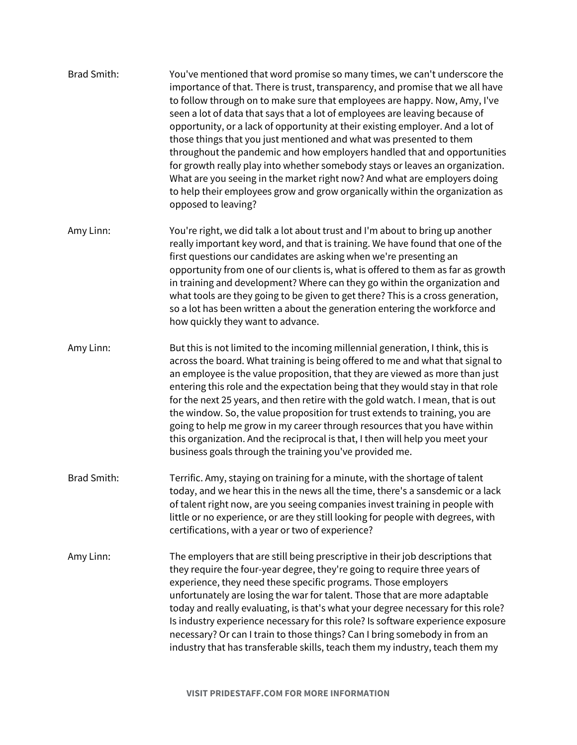- Brad Smith: You've mentioned that word promise so many times, we can't underscore the importance of that. There is trust, transparency, and promise that we all have to follow through on to make sure that employees are happy. Now, Amy, I've seen a lot of data that says that a lot of employees are leaving because of opportunity, or a lack of opportunity at their existing employer. And a lot of those things that you just mentioned and what was presented to them throughout the pandemic and how employers handled that and opportunities for growth really play into whether somebody stays or leaves an organization. What are you seeing in the market right now? And what are employers doing to help their employees grow and grow organically within the organization as opposed to leaving?
- Amy Linn: You're right, we did talk a lot about trust and I'm about to bring up another really important key word, and that is training. We have found that one of the first questions our candidates are asking when we're presenting an opportunity from one of our clients is, what is offered to them as far as growth in training and development? Where can they go within the organization and what tools are they going to be given to get there? This is a cross generation, so a lot has been written a about the generation entering the workforce and how quickly they want to advance.
- Amy Linn: But this is not limited to the incoming millennial generation, I think, this is across the board. What training is being offered to me and what that signal to an employee is the value proposition, that they are viewed as more than just entering this role and the expectation being that they would stay in that role for the next 25 years, and then retire with the gold watch. I mean, that is out the window. So, the value proposition for trust extends to training, you are going to help me grow in my career through resources that you have within this organization. And the reciprocal is that, I then will help you meet your business goals through the training you've provided me.
- Brad Smith: Terrific. Amy, staying on training for a minute, with the shortage of talent today, and we hear this in the news all the time, there's a sansdemic or a lack of talent right now, are you seeing companies invest training in people with little or no experience, or are they still looking for people with degrees, with certifications, with a year or two of experience?
- Amy Linn: The employers that are still being prescriptive in their job descriptions that they require the four-year degree, they're going to require three years of experience, they need these specific programs. Those employers unfortunately are losing the war for talent. Those that are more adaptable today and really evaluating, is that's what your degree necessary for this role? Is industry experience necessary for this role? Is software experience exposure necessary? Or can I train to those things? Can I bring somebody in from an industry that has transferable skills, teach them my industry, teach them my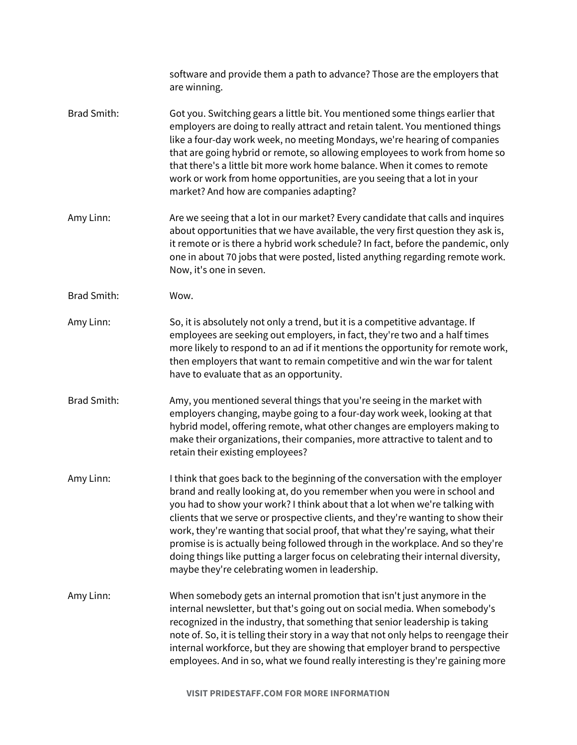|                    | software and provide them a path to advance? Those are the employers that<br>are winning.                                                                                                                                                                                                                                                                                                                                                                                                                                                                                                                                             |
|--------------------|---------------------------------------------------------------------------------------------------------------------------------------------------------------------------------------------------------------------------------------------------------------------------------------------------------------------------------------------------------------------------------------------------------------------------------------------------------------------------------------------------------------------------------------------------------------------------------------------------------------------------------------|
| <b>Brad Smith:</b> | Got you. Switching gears a little bit. You mentioned some things earlier that<br>employers are doing to really attract and retain talent. You mentioned things<br>like a four-day work week, no meeting Mondays, we're hearing of companies<br>that are going hybrid or remote, so allowing employees to work from home so<br>that there's a little bit more work home balance. When it comes to remote<br>work or work from home opportunities, are you seeing that a lot in your<br>market? And how are companies adapting?                                                                                                         |
| Amy Linn:          | Are we seeing that a lot in our market? Every candidate that calls and inquires<br>about opportunities that we have available, the very first question they ask is,<br>it remote or is there a hybrid work schedule? In fact, before the pandemic, only<br>one in about 70 jobs that were posted, listed anything regarding remote work.<br>Now, it's one in seven.                                                                                                                                                                                                                                                                   |
| <b>Brad Smith:</b> | Wow.                                                                                                                                                                                                                                                                                                                                                                                                                                                                                                                                                                                                                                  |
| Amy Linn:          | So, it is absolutely not only a trend, but it is a competitive advantage. If<br>employees are seeking out employers, in fact, they're two and a half times<br>more likely to respond to an ad if it mentions the opportunity for remote work,<br>then employers that want to remain competitive and win the war for talent<br>have to evaluate that as an opportunity.                                                                                                                                                                                                                                                                |
| <b>Brad Smith:</b> | Amy, you mentioned several things that you're seeing in the market with<br>employers changing, maybe going to a four-day work week, looking at that<br>hybrid model, offering remote, what other changes are employers making to<br>make their organizations, their companies, more attractive to talent and to<br>retain their existing employees?                                                                                                                                                                                                                                                                                   |
| Amy Linn:          | I think that goes back to the beginning of the conversation with the employer<br>brand and really looking at, do you remember when you were in school and<br>you had to show your work? I think about that a lot when we're talking with<br>clients that we serve or prospective clients, and they're wanting to show their<br>work, they're wanting that social proof, that what they're saying, what their<br>promise is is actually being followed through in the workplace. And so they're<br>doing things like putting a larger focus on celebrating their internal diversity,<br>maybe they're celebrating women in leadership. |
| Amy Linn:          | When somebody gets an internal promotion that isn't just anymore in the<br>internal newsletter, but that's going out on social media. When somebody's<br>recognized in the industry, that something that senior leadership is taking<br>note of. So, it is telling their story in a way that not only helps to reengage their<br>internal workforce, but they are showing that employer brand to perspective<br>employees. And in so, what we found really interesting is they're gaining more                                                                                                                                        |

**VISIT PRIDESTAFF.COM FOR MORE INFORMATION**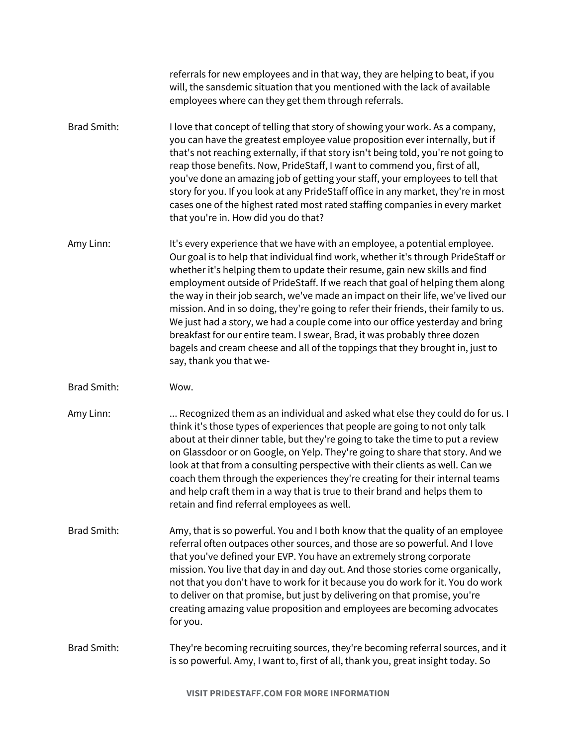|                    | referrals for new employees and in that way, they are helping to beat, if you<br>will, the sansdemic situation that you mentioned with the lack of available<br>employees where can they get them through referrals.                                                                                                                                                                                                                                                                                                                                                                                                                                                                                                                                                                |
|--------------------|-------------------------------------------------------------------------------------------------------------------------------------------------------------------------------------------------------------------------------------------------------------------------------------------------------------------------------------------------------------------------------------------------------------------------------------------------------------------------------------------------------------------------------------------------------------------------------------------------------------------------------------------------------------------------------------------------------------------------------------------------------------------------------------|
| <b>Brad Smith:</b> | I love that concept of telling that story of showing your work. As a company,<br>you can have the greatest employee value proposition ever internally, but if<br>that's not reaching externally, if that story isn't being told, you're not going to<br>reap those benefits. Now, PrideStaff, I want to commend you, first of all,<br>you've done an amazing job of getting your staff, your employees to tell that<br>story for you. If you look at any PrideStaff office in any market, they're in most<br>cases one of the highest rated most rated staffing companies in every market<br>that you're in. How did you do that?                                                                                                                                                   |
| Amy Linn:          | It's every experience that we have with an employee, a potential employee.<br>Our goal is to help that individual find work, whether it's through PrideStaff or<br>whether it's helping them to update their resume, gain new skills and find<br>employment outside of PrideStaff. If we reach that goal of helping them along<br>the way in their job search, we've made an impact on their life, we've lived our<br>mission. And in so doing, they're going to refer their friends, their family to us.<br>We just had a story, we had a couple come into our office yesterday and bring<br>breakfast for our entire team. I swear, Brad, it was probably three dozen<br>bagels and cream cheese and all of the toppings that they brought in, just to<br>say, thank you that we- |
| <b>Brad Smith:</b> | Wow.                                                                                                                                                                                                                                                                                                                                                                                                                                                                                                                                                                                                                                                                                                                                                                                |
| Amy Linn:          | Recognized them as an individual and asked what else they could do for us. I<br>think it's those types of experiences that people are going to not only talk<br>about at their dinner table, but they're going to take the time to put a review<br>on Glassdoor or on Google, on Yelp. They're going to share that story. And we<br>look at that from a consulting perspective with their clients as well. Can we<br>coach them through the experiences they're creating for their internal teams<br>and help craft them in a way that is true to their brand and helps them to<br>retain and find referral employees as well.                                                                                                                                                      |
| Brad Smith:        | Amy, that is so powerful. You and I both know that the quality of an employee<br>referral often outpaces other sources, and those are so powerful. And I love<br>that you've defined your EVP. You have an extremely strong corporate<br>mission. You live that day in and day out. And those stories come organically,<br>not that you don't have to work for it because you do work for it. You do work<br>to deliver on that promise, but just by delivering on that promise, you're<br>creating amazing value proposition and employees are becoming advocates<br>for you.                                                                                                                                                                                                      |
| Brad Smith:        | They're becoming recruiting sources, they're becoming referral sources, and it<br>is so powerful. Amy, I want to, first of all, thank you, great insight today. So                                                                                                                                                                                                                                                                                                                                                                                                                                                                                                                                                                                                                  |

**VISIT PRIDESTAFF.COM FOR MORE INFORMATION**